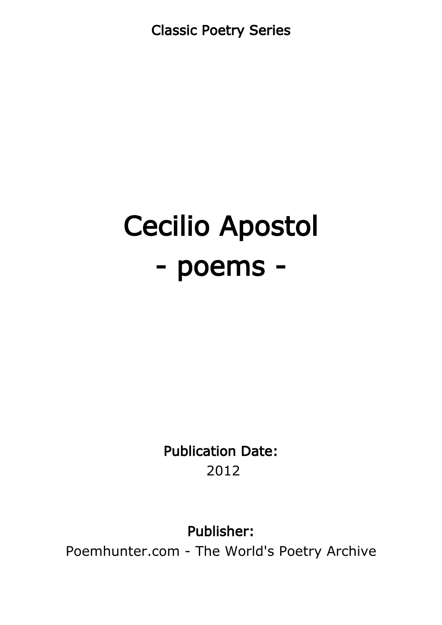Classic Poetry Series

# Cecilio Apostol - poems -

Publication Date: 2012

Publisher:

Poemhunter.com - The World's Poetry Archive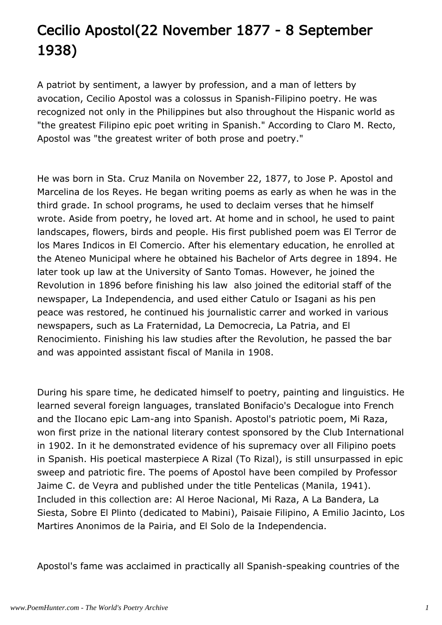## Cecilio Apostol(22 November 1877 - 8 September 1938)

A patriot by sentiment, a lawyer by profession, and a man of letters by avocation, Cecilio Apostol was a colossus in Spanish-Filipino poetry. He was recognized not only in the Philippines but also throughout the Hispanic world as "the greatest Filipino epic poet writing in Spanish." According to Claro M. Recto, Apostol was "the greatest writer of both prose and poetry."

He was born in Sta. Cruz Manila on November 22, 1877, to Jose P. Apostol and Marcelina de los Reyes. He began writing poems as early as when he was in the third grade. In school programs, he used to declaim verses that he himself wrote. Aside from poetry, he loved art. At home and in school, he used to paint landscapes, flowers, birds and people. His first published poem was El Terror de los Mares Indicos in El Comercio. After his elementary education, he enrolled at the Ateneo Municipal where he obtained his Bachelor of Arts degree in 1894. He later took up law at the University of Santo Tomas. However, he joined the Revolution in 1896 before finishing his law also joined the editorial staff of the newspaper, La Independencia, and used either Catulo or Isagani as his pen peace was restored, he continued his journalistic carrer and worked in various newspapers, such as La Fraternidad, La Democrecia, La Patria, and El Renocimiento. Finishing his law studies after the Revolution, he passed the bar and was appointed assistant fiscal of Manila in 1908.

During his spare time, he dedicated himself to poetry, painting and linguistics. He learned several foreign languages, translated Bonifacio's Decalogue into French and the Ilocano epic Lam-ang into Spanish. Apostol's patriotic poem, Mi Raza, won first prize in the national literary contest sponsored by the Club International in 1902. In it he demonstrated evidence of his supremacy over all Filipino poets in Spanish. His poetical masterpiece A Rizal (To Rizal), is still unsurpassed in epic sweep and patriotic fire. The poems of Apostol have been compiled by Professor Jaime C. de Veyra and published under the title Pentelicas (Manila, 1941). Included in this collection are: Al Heroe Nacional, Mi Raza, A La Bandera, La Siesta, Sobre El Plinto (dedicated to Mabini), Paisaie Filipino, A Emilio Jacinto, Los Martires Anonimos de la Pairia, and El Solo de la Independencia.

Apostol's fame was acclaimed in practically all Spanish-speaking countries of the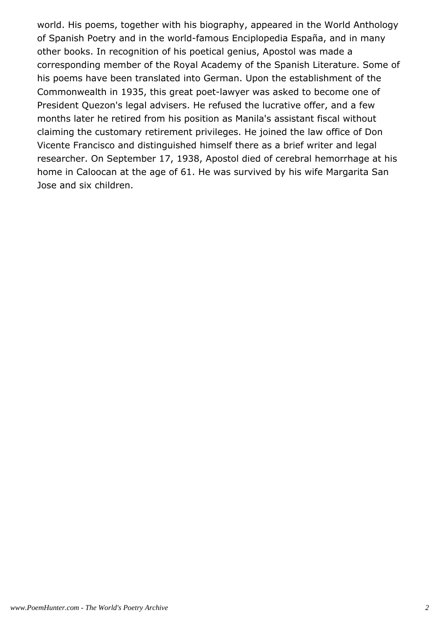world. His poems, together with his biography, appeared in the World Anthology of Spanish Poetry and in the world-famous Enciplopedia España, and in many other books. In recognition of his poetical genius, Apostol was made a corresponding member of the Royal Academy of the Spanish Literature. Some of his poems have been translated into German. Upon the establishment of the Commonwealth in 1935, this great poet-lawyer was asked to become one of President Quezon's legal advisers. He refused the lucrative offer, and a few months later he retired from his position as Manila's assistant fiscal without claiming the customary retirement privileges. He joined the law office of Don Vicente Francisco and distinguished himself there as a brief writer and legal researcher. On September 17, 1938, Apostol died of cerebral hemorrhage at his home in Caloocan at the age of 61. He was survived by his wife Margarita San Jose and six children.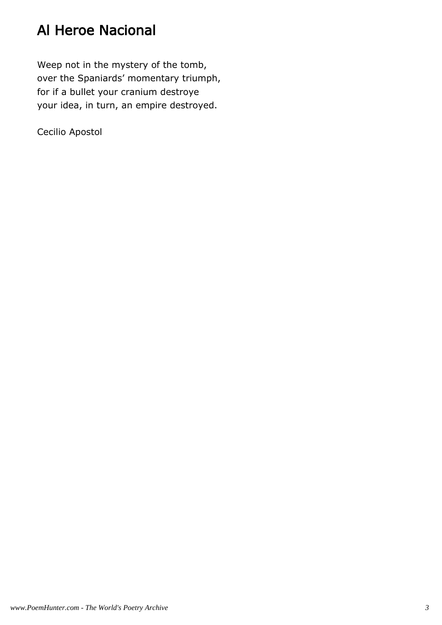### Al Heroe Nacional

Weep not in the mystery of the tomb, over the Spaniards' momentary triumph, for if a bullet your cranium destroye your idea, in turn, an empire destroyed.

Cecilio Apostol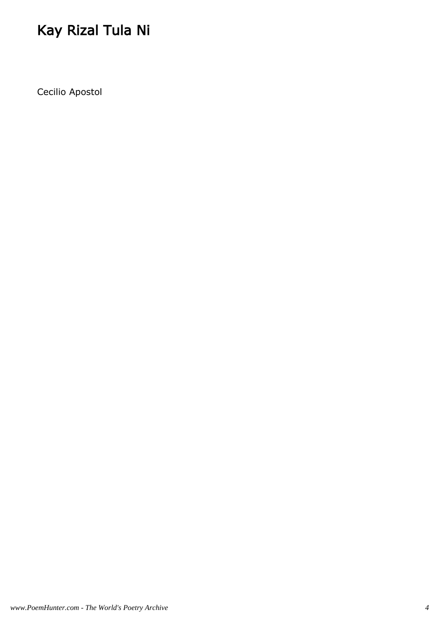## Kay Rizal Tula Ni

Cecilio Apostol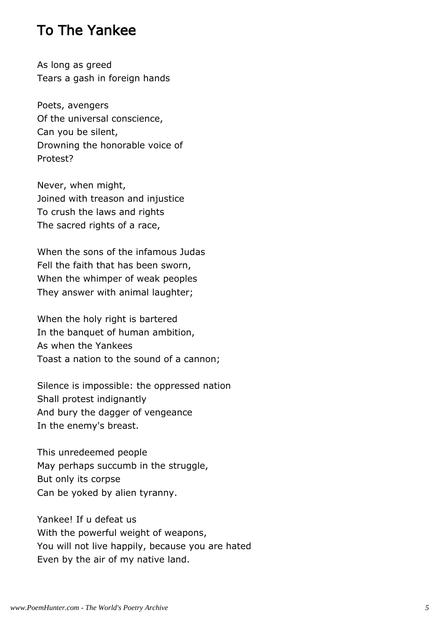#### To The Yankee

As long as greed Tears a gash in foreign hands

Poets, avengers Of the universal conscience, Can you be silent, Drowning the honorable voice of Protest?

Never, when might, Joined with treason and injustice To crush the laws and rights The sacred rights of a race,

When the sons of the infamous Judas Fell the faith that has been sworn, When the whimper of weak peoples They answer with animal laughter;

When the holy right is bartered In the banquet of human ambition, As when the Yankees Toast a nation to the sound of a cannon;

Silence is impossible: the oppressed nation Shall protest indignantly And bury the dagger of vengeance In the enemy's breast.

This unredeemed people May perhaps succumb in the struggle, But only its corpse Can be yoked by alien tyranny.

Yankee! If u defeat us With the powerful weight of weapons, You will not live happily, because you are hated Even by the air of my native land.